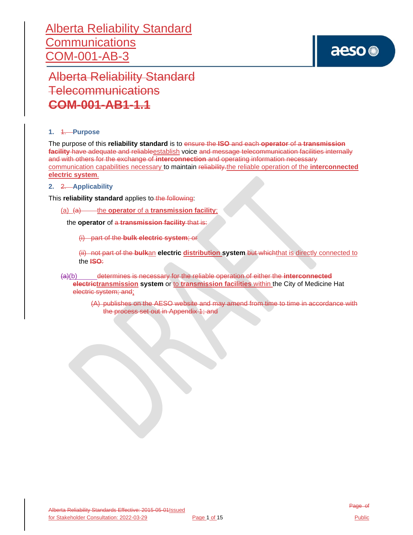# aeso<sup>®</sup>

Alberta Reliability Standard Telecommunications **COM-001-AB1-1.1**

## **1.** 1. **Purpose**

The purpose of this **reliability standard** is to ensure the **ISO** and each **operator** of a **transmission facility** have adequate and reliableestablish voice and message telecommunication facilities internally and with others for the exchange of **interconnection** and operating information necessary communication capabilities necessary to maintain reliability.the reliable operation of the **interconnected electric system**.

## **2.** 2. **Applicability**

This **reliability standard** applies to the following:

(a) (a) the **operator** of a **transmission facility**;

the **operator** of a **transmission facility** that is:

(i) part of the **bulk electric system**; or

(ii) not part of the **bulk**an **electric distribution system** but whichthat is directly connected to the **ISO**:

(a)(b) determines is necessary for the reliable operation of either the **interconnected electrictransmission system** or to **transmission facilities** within the City of Medicine Hat electric system; and;

> (A) publishes on the AESO website and may amend from time to time in accordance with the process set out in Appendix 1; and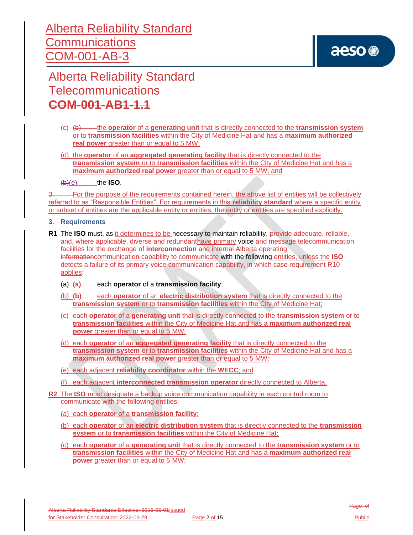

Alberta Reliability Standard Telecommunications **COM-001-AB1-1.1**

- (c) (b) the **operator** of a **generating unit** that is directly connected to the **transmission system** or to **transmission facilities** within the City of Medicine Hat and has a **maximum authorized real power** greater than or equal to 5 MW;
- (d) the **operator** of an **aggregated generating facility** that is directly connected to the **transmission system** or to **transmission facilities** within the City of Medicine Hat and has a **maximum authorized real power** greater than or equal to 5 MW; and
- $(b)(e)$  the **ISO**.

<sup>3.</sup> For the purpose of the requirements contained herein, the above list of entities will be collectively referred to as "Responsible Entities". For requirements in this **reliability standard** where a specific entity or subset of entities are the applicable entity or entities, the entity or entities are specified explicitly.

- **3. Requirements**
- **R1** The **ISO** must, as it determines to be necessary to maintain reliability, provide adequate, reliable, and, where applicable, diverse and redundanthave primary voice and message telecommunication facilities for the exchange of **interconnection** and internal Alberta operating informationcommunication capability to communicate with the following entities, unless the **ISO** detects a failure of its primary voice communication capability, in which case requirement R10 applies:
	- (a)  $\overline{(a)}$  each **operator** of a **transmission facility**;
	- (b) **(b)** each **operator** of an **electric distribution system** that is directly connected to the **transmission system** or to **transmission facilities** within the City of Medicine Hat;
	- (c) each **operator** of a **generating unit** that is directly connected to the **transmission system** or to **transmission facilities** within the City of Medicine Hat and has a **maximum authorized real power** greater than or equal to 5 MW;
	- (d) each **operator** of an **aggregated generating facility** that is directly connected to the **transmission system** or to **transmission facilities** within the City of Medicine Hat and has a **maximum authorized real power** greater than or equal to 5 MW;
	- (e) each adjacent **reliability coordinator** within the **WECC**; and
	- (f) each adjacent **interconnected transmission operator** directly connected to Alberta.
- **R2** The **ISO** must designate a backup voice communication capability in each control room to communicate with the following entities:
	- (a) each **operator** of a **transmission facility**;
	- (b) each **operator** of an **electric distribution system** that is directly connected to the **transmission system** or to **transmission facilities** within the City of Medicine Hat;
	- (c) each **operator** of a **generating unit** that is directly connected to the **transmission system** or to **transmission facilities** within the City of Medicine Hat and has a **maximum authorized real power** greater than or equal to 5 MW;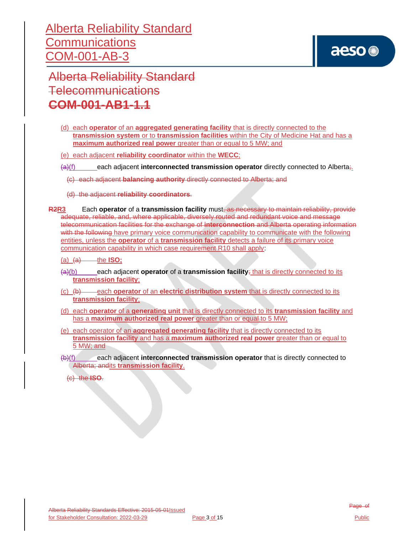

Alberta Reliability Standard Telecommunications **COM-001-AB1-1.1**

(d) each **operator** of an **aggregated generating facility** that is directly connected to the **transmission system** or to **transmission facilities** within the City of Medicine Hat and has a **maximum authorized real power** greater than or equal to 5 MW; and

(e) each adjacent **reliability coordinator** within the **WECC**;

(a)(f) each adjacent **interconnected transmission operator** directly connected to Alberta;.

(c) each adjacent **balancing authority** directly connected to Alberta; and

(d) the adjacent **reliability coordinators**.

- **R2R3** Each **operator** of a **transmission facility** must, as necessary to maintain reliability, provide adequate, reliable, and, where applicable, diversely routed and redundant voice and message telecommunication facilities for the exchange of **interconnection** and Alberta operating information with the following have primary voice communication capability to communicate with the following entities, unless the **operator** of a **transmission facility** detects a failure of its primary voice communication capability in which case requirement R10 shall apply:
	- $(a)$   $(a)$   $\longrightarrow$  the **ISO**;
	- (a)(b) each adjacent **operator** of a **transmission facility**; that is directly connected to its **transmission facility**;
	- (c) (b) each **operator** of an **electric distribution system** that is directly connected to its **transmission facility**;
	- (d) each **operator** of a **generating unit** that is directly connected to its **transmission facility** and has a **maximum authorized real power** greater than or equal to 5 MW;
	- (e) each operator of an **aggregated generating facility** that is directly connected to its **transmission facility** and has a **maximum authorized real power** greater than or equal to 5 MW; and
	- (b)(f) each adjacent **interconnected transmission operator** that is directly connected to Alberta; andits **transmission facility**.

(c) the **ISO**.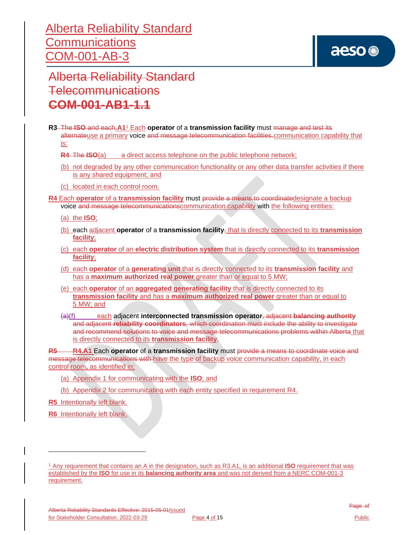

Alberta Reliability Standard Telecommunications **COM-001-AB1-1.1**

- **R3** The **ISO** and each**.A1** <sup>1</sup> Each **operator** of a **transmission facility** must manage and test its alternateuse a primary voice and message telecommunication facilities.communication capability that is:
	- **R4** The **ISO**(a) a direct access telephone on the public telephone network;
	- (b) not degraded by any other communication functionality or any other data transfer activities if there is any shared equipment; and
	- (c) located in each control room.

**R4** Each **operator** of a **transmission facility** must provide a means to coordinatedesignate a backup voice and message telecommunicationscommunication capability with the following entities:

(a) the **ISO**;

- (b) each adjacent **operator** of a **transmission facility**, that is directly connected to its **transmission facility**;
- (c) each **operator** of an **electric distribution system** that is directly connected to its **transmission facility**;
- (d) each **operator** of a **generating unit** that is directly connected to its **transmission facility** and has a **maximum authorized real power** greater than or equal to 5 MW;
- (e) each **operator** of an **aggregated generating facility** that is directly connected to its **transmission facility** and has a **maximum authorized real power** greater than or equal to 5 MW; and
- (a)(f) each adjacent **interconnected transmission operator**, adjacent **balancing authority** and adjacent **reliability coordinators**, which coordination must include the ability to investigate and recommend solutions to voice and message telecommunications problems within Alberta that is directly connected to its **transmission facility**.

**R5 R4.A1** Each **operator** of a **transmission facility** must provide a means to coordinate voice and message telecommunications with have the type of backup voice communication capability, in each control room**,** as identified in:

- (a) Appendix 1 for communicating with the **ISO**; and
- (b) Appendix 2 for communicating with each entity specified in requirement R4.
- **R5** Intentionally left blank.
- **R6** Intentionally left blank.

<sup>1</sup> Any requirement that contains an A in the designation, such as R3.A1, is an additional **ISO** requirement that was established by the **ISO** for use in its **balancing authority area** and was not derived from a NERC COM-001-3 requirement.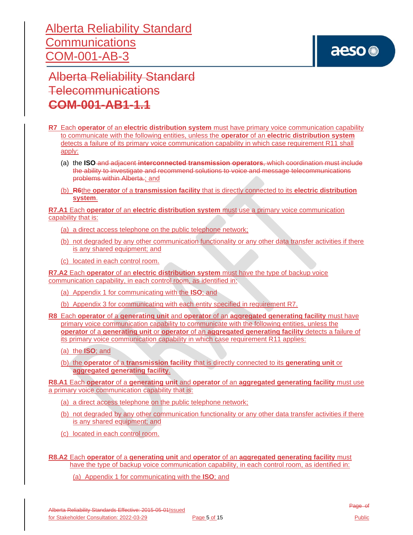# aeso<sup>®</sup>

Alberta Reliability Standard Telecommunications **COM-001-AB1-1.1**

- **R7** Each **operator** of an **electric distribution system** must have primary voice communication capability to communicate with the following entities, unless the **operator** of an **electric distribution system** detects a failure of its primary voice communication capability in which case requirement R11 shall apply:
	- (a) the **ISO** and adjacent **interconnected transmission operators**, which coordination must include the ability to investigate and recommend solutions to voice and message telecommunications problems within Alberta.; and
	- (b) **R6**the **operator** of a **transmission facility** that is directly connected to its **electric distribution system**.

**R7.A1** Each **operator** of an **electric distribution system** must use a primary voice communication capability that is:

- (a) a direct access telephone on the public telephone network;
- (b) not degraded by any other communication functionality or any other data transfer activities if there is any shared equipment; and
- (c) located in each control room.

**R7.A2** Each **operator** of an **electric distribution system** must have the type of backup voice communication capability, in each control room, as identified in:

- (a) Appendix 1 for communicating with the **ISO**; and
- (b) Appendix 3 for communicating with each entity specified in requirement R7.

**R8** Each **operator** of a **generating unit** and **operator** of an **aggregated generating facility** must have primary voice communication capability to communicate with the following entities, unless the **operator** of a **generating unit** or **operator** of an **aggregated generating facility** detects a failure of its primary voice communication capability in which case requirement R11 applies:

- (a) the **ISO**; and
- (b) the **operator** of a **transmission facility** that is directly connected to its **generating unit** or **aggregated generating facility**.

**R8.A1** Each **operator** of a **generating unit** and **operator** of an **aggregated generating facility** must use a primary voice communication capability that is:

- (a) a direct access telephone on the public telephone network;
- (b) not degraded by any other communication functionality or any other data transfer activities if there is any shared equipment; and
- (c) located in each control room.
- **R8.A2** Each **operator** of a **generating unit** and **operator** of an **aggregated generating facility** must have the type of backup voice communication capability, in each control room, as identified in:

(a) Appendix 1 for communicating with the **ISO**; and

Alberta Reliability Standards Effective: 2015-05-01Issued for Stakeholder Consultation: 2022-03-29 Page 5 of 15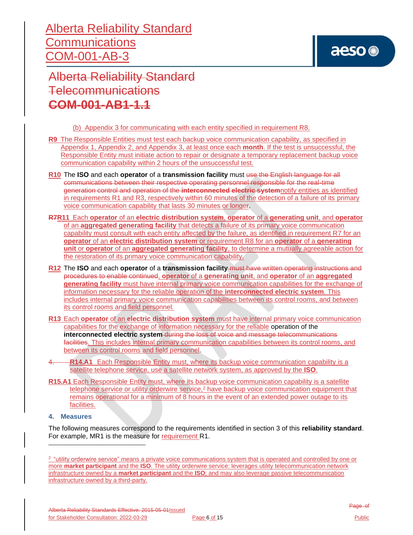

Alberta Reliability Standard Telecommunications **COM-001-AB1-1.1**

(b) Appendix 3 for communicating with each entity specified in requirement R8.

- **R9** The Responsible Entities must test each backup voice communication capability, as specified in Appendix 1, Appendix 2, and Appendix 3, at least once each **month**. If the test is unsuccessful, the Responsible Entity must initiate action to repair or designate a temporary replacement backup voice communication capability within 2 hours of the unsuccessful test*.*
- **R10** The **ISO** and each **operator** of a **transmission facility** must use the English language for all communications between their respective operating personnel responsible for the real-time generation control and operation of the **interconnected electric system**notify entities as identified in requirements R1 and R3, respectively within 60 minutes of the detection of a failure of its primary voice communication capability that lasts 30 minutes or longer.
- **R7R11** Each **operator** of an **electric distribution system**, **operator** of a **generating unit**, and **operator** of an **aggregated generating facility** that detects a failure of its primary voice communication capability must consult with each entity affected by the failure, as identified in requirement R7 for an **operator** of an **electric distribution system** or requirement R8 for an **operator** of a **generating unit** or **operator** of an **aggregated generating facility**, to determine a mutually agreeable action for the restoration of its primary voice communication capability.
- **R12** The **ISO** and each **operator** of a **transmission facility** must have written operating instructions and procedures to enable continued, **operator** of a **generating unit**, and **operator** of an **aggregated generating facility** must have internal primary voice communication capabilities for the exchange of information necessary for the reliable operation of the **interconnected electric system**. This includes internal primary voice communication capabilities between its control rooms, and between its control rooms and field personnel*.*
- **R13** Each **operator** of an **electric distribution system** must have internal primary voice communication capabilities for the exchange of information necessary for the reliable operation of the **interconnected electric system** during the loss of voice and message telecommunications facilities. This includes internal primary communication capabilities between its control rooms, and between its control rooms and field personnel.
- **R14.A1** Each Responsible Entity must, where its backup voice communication capability is a satellite telephone service, use a satellite network system, as approved by the **ISO**.
- **R15.A1** Each Responsible Entity must, where its backup voice communication capability is a satellite telephone service or utility orderwire service,<sup>2</sup> have backup voice communication equipment that remains operational for a minimum of 8 hours in the event of an extended power outage to its facilities.
- **4. Measures**

The following measures correspond to the requirements identified in section 3 of this **reliability standard**. For example, MR1 is the measure for requirement R1.

<sup>&</sup>lt;sup>2</sup> "utility orderwire service" means a private voice communications system that is operated and controlled by one or more **market participant** and the **ISO**. The utility orderwire service: leverages utility telecommunication network infrastructure owned by a **market participant** and the **ISO**; and may also leverage passive telecommunication infrastructure owned by a third-party.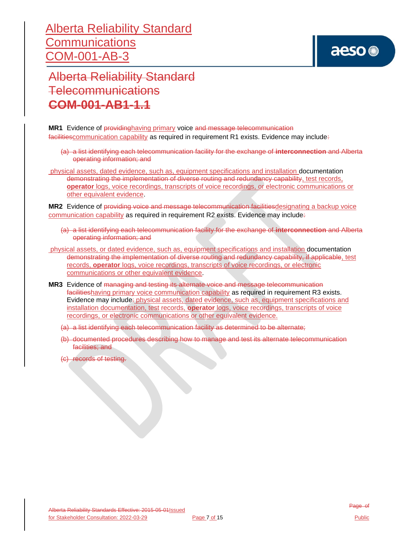# aeso<sup>®</sup>

Alberta Reliability Standard Telecommunications **COM-001-AB1-1.1**

**MR1** Evidence of providinghaving primary voice and message telecommunication facilities communication capability as required in requirement R1 exists. Evidence may include:

- (a) a list identifying each telecommunication facility for the exchange of **interconnection** and Alberta operating information; and
- physical assets, dated evidence, such as, equipment specifications and installation documentation demonstrating the implementation of diverse routing and redundancy capability, test records, **operator** logs, voice recordings, transcripts of voice recordings, or electronic communications or other equivalent evidence.

**MR2** Evidence of providing voice and message telecommunication facilities designating a backup voice communication capability as required in requirement R2 exists. Evidence may include:

- (a) a list identifying each telecommunication facility for the exchange of **interconnection** and Alberta operating information; and
- physical assets, or dated evidence, such as, equipment specifications and installation documentation demonstrating the implementation of diverse routing and redundancy capability, if applicable, test records, **operator** logs, voice recordings, transcripts of voice recordings, or electronic communications or other equivalent evidence.
- **MR3** Evidence of managing and testing its alternate voice and message telecommunication facilitieshaving primary voice communication capability as required in requirement R3 exists. Evidence may include: physical assets, dated evidence, such as, equipment specifications and installation documentation, test records, **operator** logs, voice recordings, transcripts of voice recordings, or electronic communications or other equivalent evidence.
	- (a) a list identifying each telecommunication facility as determined to be alternate;
	- (b) documented procedures describing how to manage and test its alternate telecommunication facilities; and
	- (c) records of testing.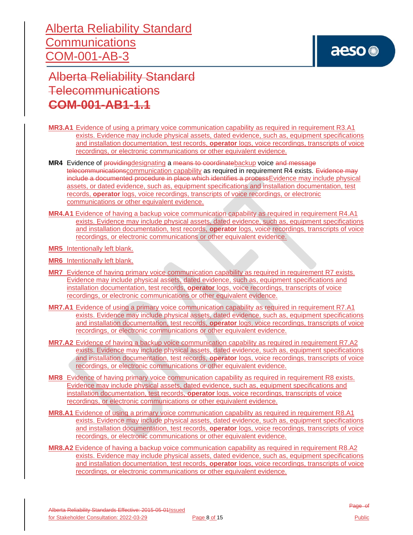Alberta Reliability Standard Telecommunications **COM-001-AB1-1.1**

- **MR3.A1** Evidence of using a primary voice communication capability as required in requirement R3.A1 exists. Evidence may include physical assets, dated evidence, such as, equipment specifications and installation documentation, test records, **operator** logs, voice recordings, transcripts of voice recordings, or electronic communications or other equivalent evidence.
- **MR4** Evidence of providingdesignating a means to coordinatebackup voice and message telecommunicationscommunication capability as required in requirement R4 exists. Evidence may include a documented procedure in place which identifies a processEvidence may include physical assets, or dated evidence, such as, equipment specifications and installation documentation, test records, **operator** logs, voice recordings, transcripts of voice recordings, or electronic communications or other equivalent evidence.
- **MR4.A1** Evidence of having a backup voice communication capability as required in requirement R4.A1 exists. Evidence may include physical assets, dated evidence, such as, equipment specifications and installation documentation, test records, **operator** logs, voice recordings, transcripts of voice recordings, or electronic communications or other equivalent evidence.
- **MR5** Intentionally left blank.
- **MR6** Intentionally left blank.
- **MR7** Evidence of having primary voice communication capability as required in requirement R7 exists. Evidence may include physical assets, dated evidence, such as, equipment specifications and installation documentation, test records, **operator** logs, voice recordings, transcripts of voice recordings, or electronic communications or other equivalent evidence.
- **MR7.A1** Evidence of using a primary voice communication capability as required in requirement R7.A1 exists. Evidence may include physical assets, dated evidence, such as, equipment specifications and installation documentation, test records, **operator** logs, voice recordings, transcripts of voice recordings, or electronic communications or other equivalent evidence.
- **MR7.A2** Evidence of having a backup voice communication capability as required in requirement R7.A2 exists. Evidence may include physical assets, dated evidence, such as, equipment specifications and installation documentation, test records, **operator** logs, voice recordings, transcripts of voice recordings, or electronic communications or other equivalent evidence.
- **MR8** Evidence of having primary voice communication capability as required in requirement R8 exists. Evidence may include physical assets, dated evidence, such as, equipment specifications and installation documentation, test records, **operator** logs, voice recordings, transcripts of voice recordings, or electronic communications or other equivalent evidence.
- **MR8.A1** Evidence of using a primary voice communication capability as required in requirement R8.A1 exists. Evidence may include physical assets, dated evidence, such as, equipment specifications and installation documentation, test records, **operator** logs, voice recordings, transcripts of voice recordings, or electronic communications or other equivalent evidence.
- **MR8.A2** Evidence of having a backup voice communication capability as required in requirement R8.A2 exists. Evidence may include physical assets, dated evidence, such as, equipment specifications and installation documentation, test records, **operator** logs, voice recordings, transcripts of voice recordings, or electronic communications or other equivalent evidence.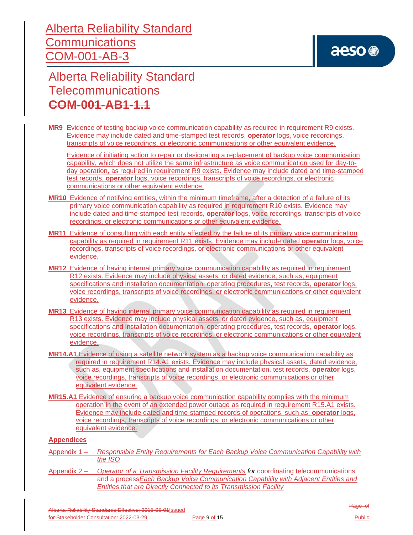## aeso<sup>®</sup>

Alberta Reliability Standard Telecommunications **COM-001-AB1-1.1**

**MR9** Evidence of testing backup voice communication capability as required in requirement R9 exists. Evidence may include dated and time-stamped test records, **operator** logs, voice recordings, transcripts of voice recordings, or electronic communications or other equivalent evidence.

Evidence of initiating action to repair or designating a replacement of backup voice communication capability, which does not utilize the same infrastructure as voice communication used for day-today operation, as required in requirement R9 exists. Evidence may include dated and time-stamped test records, **operator** logs, voice recordings, transcripts of voice recordings, or electronic communications or other equivalent evidence.

- **MR10** Evidence of notifying entities, within the minimum timeframe, after a detection of a failure of its primary voice communication capability as required in requirement R10 exists. Evidence may include dated and time-stamped test records, **operator** logs, voice recordings, transcripts of voice recordings, or electronic communications or other equivalent evidence.
- **MR11** Evidence of consulting with each entity affected by the failure of its primary voice communication capability as required in requirement R11 exists. Evidence may include dated **operator** logs, voice recordings, transcripts of voice recordings, or electronic communications or other equivalent evidence.
- **MR12** Evidence of having internal primary voice communication capability as required in requirement R12 exists. Evidence may include physical assets, or dated evidence, such as, equipment specifications and installation documentation, operating procedures, test records, **operator** logs, voice recordings, transcripts of voice recordings, or electronic communications or other equivalent evidence.
- **MR13** Evidence of having internal primary voice communication capability as required in requirement R13 exists. Evidence may include physical assets, or dated evidence, such as, equipment specifications and installation documentation, operating procedures, test records, **operator** logs, voice recordings, transcripts of voice recordings, or electronic communications or other equivalent evidence.
- **MR14.A1** Evidence of using a satellite network system as a backup voice communication capability as required in requirement R14.A1 exists. Evidence may include physical assets, dated evidence, such as, equipment specifications and installation documentation, test records, **operator** logs, voice recordings, transcripts of voice recordings, or electronic communications or other equivalent evidence.
- **MR15.A1** Evidence of ensuring a backup voice communication capability complies with the minimum operation in the event of an extended power outage as required in requirement R15.A1 exists. Evidence may include dated and time-stamped records of operations, such as, **operator** logs, voice recordings, transcripts of voice recordings, or electronic communications or other equivalent evidence.

### **Appendices**

- Appendix 1 *Responsible Entity Requirements for Each Backup Voice Communication Capability with the ISO*
- Appendix 2 *Operator of a Transmission Facility Requirements for* coordinating telecommunications and a process*Each Backup Voice Communication Capability with Adjacent Entities and Entities that are Directly Connected to its Transmission Facility*

Alberta Reliability Standards Effective: 2015-05-01Issued for Stakeholder Consultation: 2022-03-29 Page 9 of 15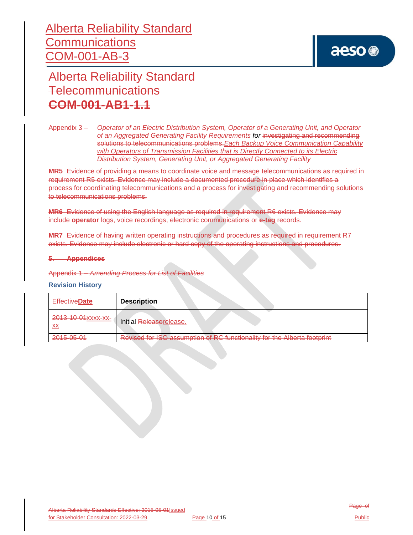## aeso<sup>®</sup>

Alberta Reliability Standard Telecommunications **COM-001-AB1-1.1**

Appendix 3 – *Operator of an Electric Distribution System, Operator of a Generating Unit, and Operator of an Aggregated Generating Facility Requirements for* investigating and recommending solutions to telecommunications problems.*Each Backup Voice Communication Capability with Operators of Transmission Facilities that is Directly Connected to its Electric Distribution System, Generating Unit, or Aggregated Generating Facility*

**MR5** Evidence of providing a means to coordinate voice and message telecommunications as required in requirement R5 exists. Evidence may include a documented procedure in place which identifies a process for coordinating telecommunications and a process for investigating and recommending solutions to telecommunications problems.

**MR6** Evidence of using the English language as required in requirement R6 exists. Evidence may include **operator** logs, voice recordings, electronic communications or **e-tag** records.

**MR7** Evidence of having written operating instructions and procedures as required in requirement R7 exists. Evidence may include electronic or hard copy of the operating instructions and procedures.

### **5. Appendices**

Appendix 1 – *Amending Process for List of Facilities*

#### **Revision History**

| <b>EffectiveDate</b>            | <b>Description</b>                                                                                         |
|---------------------------------|------------------------------------------------------------------------------------------------------------|
| 2013-10-01xxxx-xx-<br><b>XX</b> | Initial Releaserelease.                                                                                    |
| 2015-05-01                      | conumption of PC functionality for the Alberta footprint<br>Dovisod for ICO<br><b>IN THE EVANGER SHOPS</b> |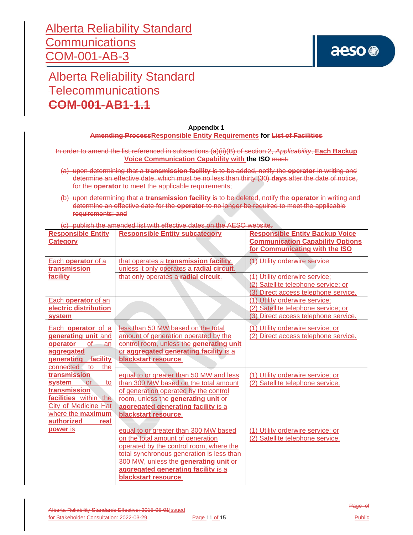

Alberta Reliability Standard Telecommunications **COM-001-AB1-1.1**

#### **Appendix 1 Amending ProcessResponsible Entity Requirements for List of Facilities**

In order to amend the list referenced in subsections (a)(ii)(B) of section 2, *Applicability*, **Each Backup Voice Communication Capability with the ISO** must:

- (a) upon determining that a **transmission facility** is to be added, notify the **operator** in writing and determine an effective date, which must be no less than thirty (30) **days** after the date of notice, for the **operator** to meet the applicable requirements;
- (b) upon determining that a **transmission facility** is to be deleted, notify the **operator** in writing and determine an effective date for the **operator** to no longer be required to meet the applicable requirements; and

(c) publish the amended list with effective dates on the AESO website.

| <b>Responsible Entity</b><br><b>Category</b>                                                                                                          | <b>Responsible Entity subcategory</b>                                                                                                                                                                                                                                      | <b>Responsible Entity Backup Voice</b><br><b>Communication Capability Options</b><br>for Communicating with the ISO |
|-------------------------------------------------------------------------------------------------------------------------------------------------------|----------------------------------------------------------------------------------------------------------------------------------------------------------------------------------------------------------------------------------------------------------------------------|---------------------------------------------------------------------------------------------------------------------|
| Each operator of a<br>transmission                                                                                                                    | that operates a transmission facility,<br>unless it only operates a radial circuit.                                                                                                                                                                                        | (1) Utility orderwire service                                                                                       |
| facility                                                                                                                                              | that only operates a radial circuit.                                                                                                                                                                                                                                       | (1) Utility orderwire service;<br>(2) Satellite telephone service; or<br>(3) Direct access telephone service.       |
| Each operator of an<br>electric distribution<br>system                                                                                                |                                                                                                                                                                                                                                                                            | (1) Utility orderwire service;<br>(2) Satellite telephone service; or<br>(3) Direct access telephone service.       |
| Each operator of a<br>generating unit and<br><b>of</b><br>operator<br>an<br>aggregated<br>generating facility<br>the<br>connected<br>to               | less than 50 MW based on the total<br>amount of generation operated by the<br>control room, unless the generating unit<br>or aggregated generating facility is a<br>blackstart resource.                                                                                   | (1) Utility orderwire service; or<br>(2) Direct access telephone service.                                           |
| transmission<br>system<br>or<br>to<br>transmission<br>facilities within the<br><b>City of Medicine Hat</b><br>where the maximum<br>authorized<br>real | equal to or greater than 50 MW and less<br>than 300 MW based on the total amount<br>of generation operated by the control<br>room, unless the generating unit or<br>aggregated generating facility is a<br>blackstart resource.                                            | (1) Utility orderwire service; or<br>(2) Satellite telephone service.                                               |
| power is                                                                                                                                              | equal to or greater than 300 MW based<br>on the total amount of generation<br>operated by the control room, where the<br>total synchronous generation is less than<br>300 MW, unless the generating unit or<br>aggregated generating facility is a<br>blackstart resource. | (1) Utility orderwire service; or<br>(2) Satellite telephone service.                                               |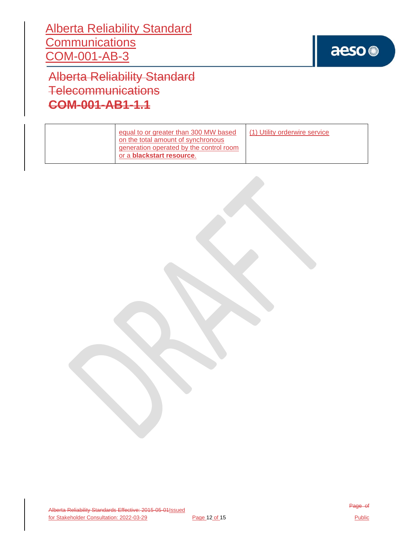

Alberta Reliability Standard Telecommunications **COM-001-AB1-1.1**

| equal to or greater than 300 MW based<br>on the total amount of synchronous<br>generation operated by the control room<br>or a <b>blackstart resource</b> . | (1) Utility orderwire service |
|-------------------------------------------------------------------------------------------------------------------------------------------------------------|-------------------------------|
|-------------------------------------------------------------------------------------------------------------------------------------------------------------|-------------------------------|

Alberta Reliability Standards Effective: 2015-05-01Issued for Stakeholder Consultation: 2022-03-29 Page 12 of 15 Page of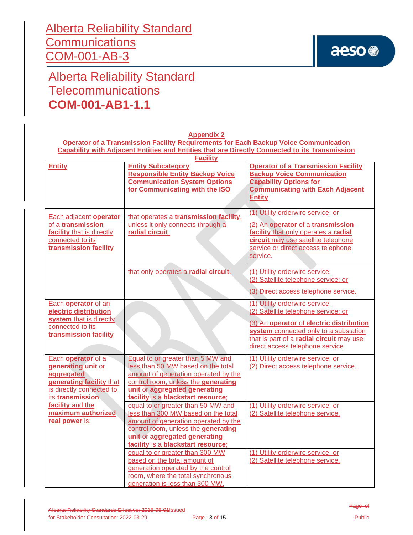## aeso<sup>®</sup>

Alberta Reliability Standard **Telecommunications COM-001-AB1-1.1**

| <b>Operator of a Transmission Facility Requirements for Each Backup Voice Communication</b>                                        |                                                                                                                                                                                                                                                                    |                                                                                                                                                                                                                                           |  |
|------------------------------------------------------------------------------------------------------------------------------------|--------------------------------------------------------------------------------------------------------------------------------------------------------------------------------------------------------------------------------------------------------------------|-------------------------------------------------------------------------------------------------------------------------------------------------------------------------------------------------------------------------------------------|--|
| Capability with Adjacent Entities and Entities that are Directly Connected to its Transmission                                     |                                                                                                                                                                                                                                                                    |                                                                                                                                                                                                                                           |  |
| <b>Entity</b>                                                                                                                      | <b>Facility</b><br><b>Entity Subcategory</b><br><b>Responsible Entity Backup Voice</b><br><b>Communication System Options</b><br>for Communicating with the ISO                                                                                                    | <b>Operator of a Transmission Facility</b><br><b>Backup Voice Communication</b><br><b>Capability Options for</b><br><b>Communicating with Each Adjacent</b><br><b>Entity</b>                                                              |  |
| Each adjacent operator<br>of a transmission<br>facility that is directly<br>connected to its<br>transmission facility              | that operates a transmission facility,<br>unless it only connects through a<br>radial circuit.                                                                                                                                                                     | (1) Utility orderwire service; or<br>(2) An operator of a transmission<br>facility that only operates a radial<br>circuit may use satellite telephone<br>service or direct access telephone<br>service.                                   |  |
|                                                                                                                                    | that only operates a radial circuit.                                                                                                                                                                                                                               | (1) Utility orderwire service;<br>(2) Satellite telephone service; or<br>(3) Direct access telephone service.                                                                                                                             |  |
| Each operator of an<br>electric distribution<br>system that is directly<br>connected to its<br>transmission facility               |                                                                                                                                                                                                                                                                    | (1) Utility orderwire service;<br>(2) Satellite telephone service; or<br>(3) An operator of electric distribution<br>system connected only to a substation<br>that is part of a radial circuit may use<br>direct access telephone service |  |
| Each operator of a<br>generating unit or<br>aggregated<br>generating facility that<br>is directly connected to<br>its transmission | Equal to or greater than 5 MW and<br>less than 50 MW based on the total<br>amount of generation operated by the<br>control room, unless the generating<br>unit or aggregated generating<br>facility is a blackstart resource;                                      | (1) Utility orderwire service; or<br>(2) Direct access telephone service.                                                                                                                                                                 |  |
| facility and the<br>maximum authorized<br>real power is:                                                                           | equal to or greater than 50 MW and<br>less than 300 MW based on the total<br>amount of generation operated by the<br>control room, unless the generating<br>unit or aggregated generating<br>facility is a blackstart resource;<br>equal to or greater than 300 MW | (1) Utility orderwire service; or<br>(2) Satellite telephone service.<br>(1) Utility orderwire service; or                                                                                                                                |  |
|                                                                                                                                    | based on the total amount of<br>generation operated by the control<br>room, where the total synchronous<br>generation is less than 300 MW,                                                                                                                         | (2) Satellite telephone service.                                                                                                                                                                                                          |  |

**Appendix 2**

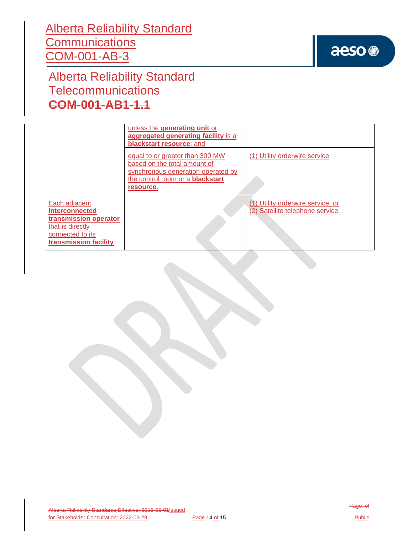

Alberta Reliability Standard Telecommunications **COM-001-AB1-1.1**

|                                                                                                                                  | unless the generating unit or<br>aggregated generating facility is a<br>blackstart resource; and                                                              |                                                                       |
|----------------------------------------------------------------------------------------------------------------------------------|---------------------------------------------------------------------------------------------------------------------------------------------------------------|-----------------------------------------------------------------------|
|                                                                                                                                  | equal to or greater than 300 MW<br>based on the total amount of<br>synchronous generation operated by<br>the control room or a <b>blackstart</b><br>resource. | (1) Utility orderwire service                                         |
| Each adjacent<br><b>interconnected</b><br>transmission operator<br>that is directly<br>connected to its<br>transmission facility |                                                                                                                                                               | (1) Utility orderwire service; or<br>(2) Satellite telephone service. |